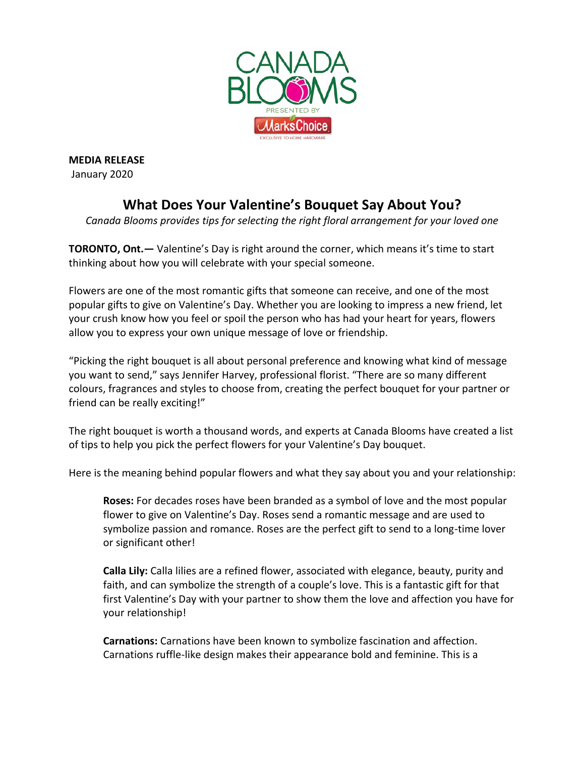

**MEDIA RELEASE** January 2020

## **What Does Your Valentine's Bouquet Say About You?**

*Canada Blooms provides tips for selecting the right floral arrangement for your loved one*

**TORONTO, Ont.—** Valentine's Day is right around the corner, which means it's time to start thinking about how you will celebrate with your special someone.

Flowers are one of the most romantic gifts that someone can receive, and one of the most popular gifts to give on Valentine's Day. Whether you are looking to impress a new friend, let your crush know how you feel or spoil the person who has had your heart for years, flowers allow you to express your own unique message of love or friendship.

"Picking the right bouquet is all about personal preference and knowing what kind of message you want to send," says Jennifer Harvey, professional florist. "There are so many different colours, fragrances and styles to choose from, creating the perfect bouquet for your partner or friend can be really exciting!"

The right bouquet is worth a thousand words, and experts at Canada Blooms have created a list of tips to help you pick the perfect flowers for your Valentine's Day bouquet.

Here is the meaning behind popular flowers and what they say about you and your relationship:

**Roses:** For decades roses have been branded as a symbol of love and the most popular flower to give on Valentine's Day. Roses send a romantic message and are used to symbolize passion and romance. Roses are the perfect gift to send to a long-time lover or significant other!

**Calla Lily:** Calla lilies are a refined flower, associated with elegance, beauty, purity and faith, and can symbolize the strength of a couple's love. This is a fantastic gift for that first Valentine's Day with your partner to show them the love and affection you have for your relationship!

**Carnations:** Carnations have been known to symbolize fascination and affection. Carnations ruffle-like design makes their appearance bold and feminine. This is a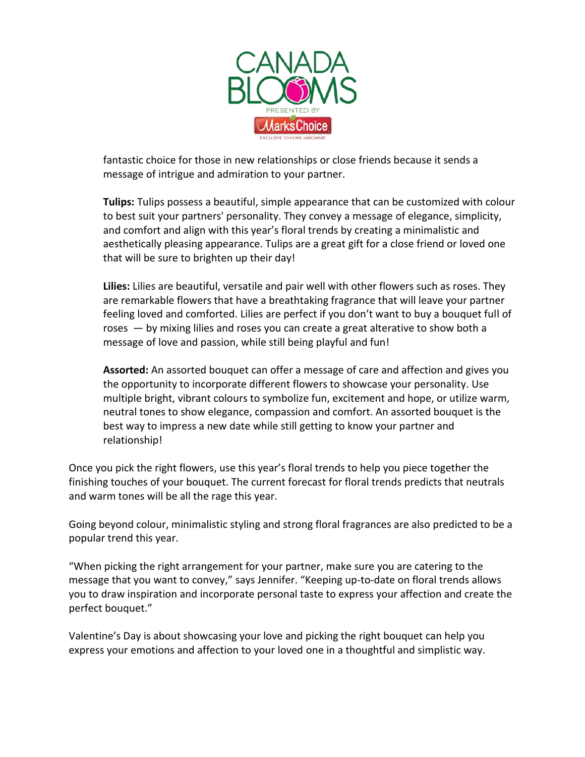

fantastic choice for those in new relationships or close friends because it sends a message of intrigue and admiration to your partner.

**Tulips:** Tulips possess a beautiful, simple appearance that can be customized with colour to best suit your partners' personality. They convey a message of elegance, simplicity, and comfort and align with this year's floral trends by creating a minimalistic and aesthetically pleasing appearance. Tulips are a great gift for a close friend or loved one that will be sure to brighten up their day!

**Lilies:** Lilies are beautiful, versatile and pair well with other flowers such as roses. They are remarkable flowers that have a breathtaking fragrance that will leave your partner feeling loved and comforted. Lilies are perfect if you don't want to buy a bouquet full of roses — by mixing lilies and roses you can create a great alterative to show both a message of love and passion, while still being playful and fun!

**Assorted:** An assorted bouquet can offer a message of care and affection and gives you the opportunity to incorporate different flowers to showcase your personality. Use multiple bright, vibrant colours to symbolize fun, excitement and hope, or utilize warm, neutral tones to show elegance, compassion and comfort. An assorted bouquet is the best way to impress a new date while still getting to know your partner and relationship!

Once you pick the right flowers, use this year's floral trends to help you piece together the finishing touches of your bouquet. The current forecast for floral trends predicts that neutrals and warm tones will be all the rage this year.

Going beyond colour, minimalistic styling and strong floral fragrances are also predicted to be a popular trend this year.

"When picking the right arrangement for your partner, make sure you are catering to the message that you want to convey," says Jennifer. "Keeping up-to-date on floral trends allows you to draw inspiration and incorporate personal taste to express your affection and create the perfect bouquet."

Valentine's Day is about showcasing your love and picking the right bouquet can help you express your emotions and affection to your loved one in a thoughtful and simplistic way.